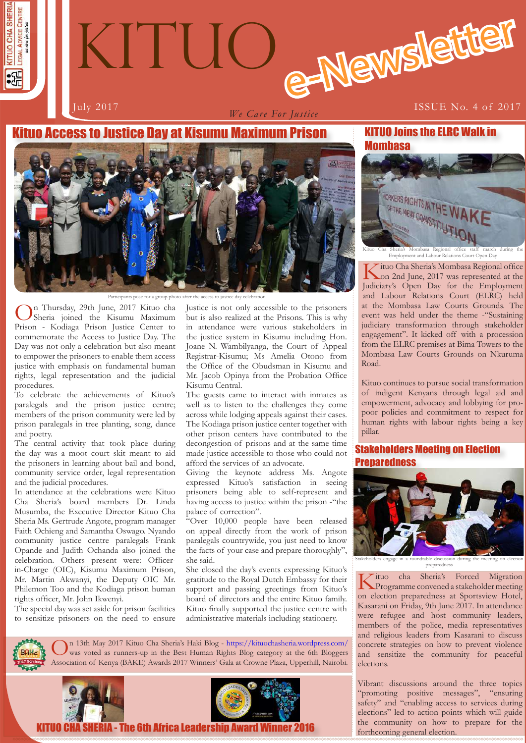

# e-Newslette KITUO

*We Care For Justice*

# July 2017  $\overline{S}$  and  $\overline{S}$  is the set of  $\overline{S}$  is  $\overline{S}$  is  $\overline{S}$  is  $\overline{S}$  is  $\overline{S}$  is  $\overline{S}$  is  $\overline{S}$  is  $\overline{S}$  is  $\overline{S}$  is  $\overline{S}$  is  $\overline{S}$  is  $\overline{S}$  is  $\overline{S}$  is  $\overline{S}$  is  $\overline{S}$

# Kituo Access to Justice Day at Kisumu Maximum Prison





On Thursday, 29th June, 2017 Kituo cha Sheria joined the Kisumu Maximum Prison - Kodiaga Prison Justice Center to commemorate the Access to Justice Day. The Day was not only a celebration but also meant to empower the prisoners to enable them access justice with emphasis on fundamental human rights, legal representation and the judicial procedures.

To celebrate the achievements of Kituo's paralegals and the prison justice centre; members of the prison community were led by prison paralegals in tree planting, song, dance and poetry.

The central activity that took place during the day was a moot court skit meant to aid the prisoners in learning about bail and bond, community service order, legal representation and the judicial procedures.

In attendance at the celebrations were Kituo Cha Sheria's board members Dr. Linda Musumba, the Executive Director Kituo Cha Sheria Ms. Gertrude Angote, program manager Faith Ochieng and Samantha Oswago. Nyando community justice centre paralegals Frank Opande and Judith Ochanda also joined the celebration. Others present were: Officerin-Charge (OIC), Kisumu Maximum Prison, Mr. Martin Akwanyi, the Deputy OIC Mr. Philemon Too and the Kodiaga prison human rights officer, Mr. John Ikwenyi.

The special day was set aside for prison facilities to sensitize prisoners on the need to ensure Justice is not only accessible to the prisoners but is also realized at the Prisons. This is why in attendance were various stakeholders in the justice system in Kisumu including Hon. Joane N. Wambilyanga, the Court of Appeal Registrar-Kisumu; Ms Amelia Otono from the Office of the Obudsman in Kisumu and Mr. Jacob Opinya from the Probation Office Kisumu Central.

The guests came to interact with inmates as well as to listen to the challenges they come across while lodging appeals against their cases. The Kodiaga prison justice center together with other prison centers have contributed to the decongestion of prisons and at the same time made justice accessible to those who could not afford the services of an advocate.

Giving the keynote address Ms. Angote expressed Kituo's satisfaction in seeing prisoners being able to self-represent and having access to justice within the prison -"the palace of correction".

"Over 10,000 people have been released on appeal directly from the work of prison paralegals countrywide, you just need to know the facts of your case and prepare thoroughly", she said.

She closed the day's events expressing Kituo's gratitude to the Royal Dutch Embassy for their support and passing greetings from Kituo's board of directors and the entire Kituo family. Kituo finally supported the justice centre with administrative materials including stationery.

On 13th May 2017 Kituo Cha Sheria's Haki Blog - https://kituochasheria.wordpress.com/ was voted as runners-up in the Best Human Rights Blog category at the 6th Bloggers Association of Kenya (BAKE) Awards 2017 Winners' Gala at Crowne Plaza, Upperhill, Nairobi.





KITUO CHA SHERIA - The 6th Africa Leadership Award Winner 2016



Kituo Cha Sheria's Mombasa Regional office staff march during the Employment and Labour Relations Court Open Day

Kituo Cha Sheria's Mombasa Regional office<br>Con 2nd June, 2017 was represented at the Judiciary's Open Day for the Employment and Labour Relations Court (ELRC) held at the Mombasa Law Courts Grounds. The event was held under the theme -"Sustaining judiciary transformation through stakeholder engagement". It kicked off with a procession from the ELRC premises at Bima Towers to the Mombasa Law Courts Grounds on Nkuruma Road.

Kituo continues to pursue social transformation of indigent Kenyans through legal aid and empowerment, advocacy and lobbying for propoor policies and commitment to respect for human rights with labour rights being a key pillar.

# Stakeholders Meeting on Election **Prenaredness**



Stakeholders engage in a roundtable discussion during the meeting on election preparedness

Kituo cha Sheria's Forced Migration Programme convened a stakeholder meeting on election preparedness at Sportsview Hotel, Kasarani on Friday, 9th June 2017. In attendance were refugee and host community leaders, members of the police, media representatives and religious leaders from Kasarani to discuss concrete strategies on how to prevent violence and sensitize the community for peaceful elections.

the community on how to prepare for the forthcoming general election Vibrant discussions around the three topics "promoting positive messages", "ensuring safety" and "enabling access to services during elections" led to action points which will guide forthcoming general election.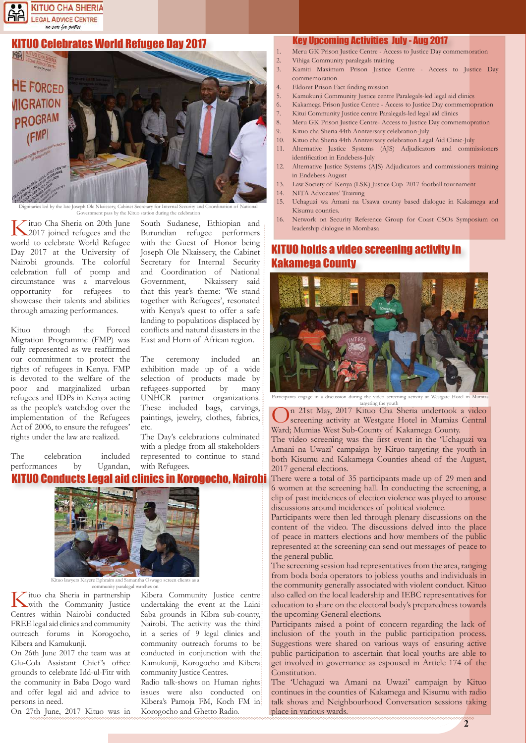

### **TUO Celebrates World Refugee Day 2017**



Dignitaries led by the late Joseph Ole Nkaissery, Cabinet Secretary for Internal Security and Coordination of National Government pass by the Kituo station during the celebration

Kituo Cha Sheria on 20th June<br>2017 joined refugees and the world to celebrate World Refugee Day 2017 at the University of Nairobi grounds. The colorful celebration full of pomp and circumstance was a marvelous opportunity for refugees to showcase their talents and abilities through amazing performances.

Kituo through the Forced Migration Programme (FMP) was fully represented as we reaffirmed our commitment to protect the rights of refugees in Kenya. FMP is devoted to the welfare of the poor and marginalized urban refugees and IDPs in Kenya acting as the people's watchdog over the implementation of the Refugees Act of 2006, to ensure the refugees' rights under the law are realized.

The celebration included performances by Ugandan,

#### KITUO Conducts Legal aid clinics in Korogocho, Nairobi



nity paralegal watches on

Tituo cha Sheria in partnership with the Community Justice Centres within Nairobi conducted FREE legal aid clinics and community outreach forums in Korogocho, Kibera and Kamukunji.

On 26th June 2017 the team was at Glu-Cola Assistant Chief 's office grounds to celebrate Idd-ul-Fitr with the community in Baba Dogo ward and offer legal aid and advice to persons in need.

On 27th June, 2017 Kituo was in

and Coordination of National<br>Government. Nkaisserv said Nkaissery said that this year's theme: 'We stand together with Refugees', resonated with Kenya's quest to offer a safe landing to populations displaced by conflicts and natural disasters in the East and Horn of African region. The ceremony included an exhibition made up of a wide selection of products made by refugees-supported by many UNHCR partner organizations.

South Sudanese, Ethiopian and Burundian refugee performers with the Guest of Honor being Joseph Ole Nkaissery, the Cabinet Secretary for Internal Security

These included bags, carvings, paintings, jewelry, clothes, fabrics, etc.

The Day's celebrations culminated with a pledge from all stakeholders represented to continue to stand with Refugees.

Kibera Community Justice centre undertaking the event at the Laini Saba grounds in Kibra sub-county, Nairobi. The activity was the third in a series of 9 legal clinics and community outreach forums to be conducted in conjunction with the Kamukunji, Korogocho and Kibera

Radio talk-shows on Human rights issues were also conducted on Kibera's Pamoja FM, Koch FM in Korogocho and Ghetto Radio.

community Justice Centres.

#### Key Upcoming Activities July - Aug 2017

- 1. Meru GK Prison Justice Centre Access to Justice Day commemoration
- 2. Vihiga Community paralegals training
- 3. Kamiti Maximum Prison Justice Centre Access to Justice Day commemoration
- 4. Eldoret Prison Fact finding mission
- 5. Kamukunji Community Justice centre Paralegals-led legal aid clinics
- 6. Kakamega Prison Justice Centre Access to Justice Day commemopration
- Kitui Community Justice centre Paralegals-led legal aid clinics
- 8. Meru GK Prison Justice Centre- Access to Justice Day commemopration
- 9. Kituo cha Sheria 44th Anniversary celebration-July
- 10. Kituo cha Sheria 44th Anniversary celebration Legal Aid Clinic-July 11. Alternative Justice Systems (AJS) Adjudicators and commissioners
- identification in Endebess-July
- 12. Alternative Justice Systems (AJS) Adjudicators and commissioners training in Endebess-August
- 13. Law Society of Kenya (LSK) Justice Cup 2017 football tournament
- 14. NITA Advocates' Training
- 15. Uchaguzi wa Amani na Usawa county based dialogue in Kakamega and Kisumu counties.
- 16. Network on Security Reference Group for Coast CSOs Symposium on leadership dialogue in Mombasa

# 'UO holds a video screening activity in Kakamega County



Participants engage in a discussion during the video screening activity at Westgate Hotel in the youth

On 21st May, 2017 Kituo Cha Sheria undertook a video screening activity at Westgate Hotel in Mumias Central Ward; Mumias West Sub-County of Kakamega County.

The video screening was the first event in the 'Uchaguzi wa Amani na Uwazi' campaign by Kituo targeting the youth in both Kisumu and Kakamega Counties ahead of the August, 2017 general elections.

There were a total of 35 participants made up of 29 men and 6 women at the screening hall. In conducting the screening, a clip of past incidences of election violence was played to arouse discussions around incidences of political violence.

Participants were then led through plenary discussions on the content of the video. The discussions delved into the place of peace in matters elections and how members of the public represented at the screening can send out messages of peace to the general public.

The screening session had representatives from the area, ranging from boda boda operators to jobless youths and individuals in the community generally associated with violent conduct. Kituo also called on the local leadership and IEBC representatives for education to share on the electoral body's preparedness towards the upcoming General elections.

Participants raised a point of concern regarding the lack of inclusion of the youth in the public participation process. Suggestions were shared on various ways of ensuring active public participation to ascertain that local youths are able to get involved in governance as espoused in Article 174 of the Constitution.

The 'Uchaguzi wa Amani na Uwazi' campaign by Kituo continues in the counties of Kakamega and Kisumu with radio talk shows and Neighbourhood Conversation sessions taking place in various wards.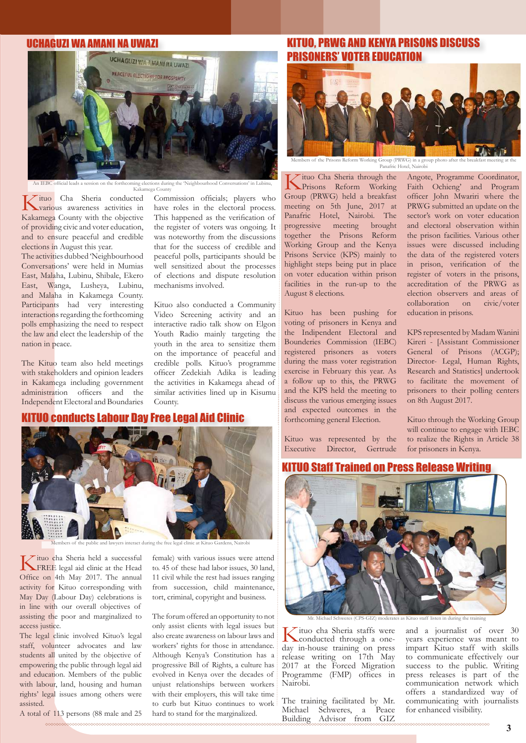#### UCHAGUZI WA AMANI NA UWAZI



#### Kituo Cha Sheria conducted various awareness activities in Kakamega County with the objective of providing civic and voter education, and to ensure peaceful and credible elections in August this year.

The activities dubbed 'Neighbourhood Conversations' were held in Mumias East, Malaha, Lubinu, Shibale, Ekero East, Wanga, Lusheya, Lubinu, and Malaha in Kakamega County. Participants had very interesting interactions regarding the forthcoming polls emphasizing the need to respect the law and elect the leadership of the nation in peace.

The Kituo team also held meetings with stakeholders and opinion leaders in Kakamega including government administration officers and the Independent Electoral and Boundaries

### IO conducts Labour Day Free Legal Aid Clinic



Members of the public and lawyers interact during the free legal clinic at Kituo Gardens, Nairobi

Kituo cha Sheria held a successful<br>FREE legal aid clinic at the Head Office on 4th May 2017. The annual activity for Kituo corresponding with May Day (Labour Day) celebrations is in line with our overall objectives of assisting the poor and marginalized to access justice.

The legal clinic involved Kituo's legal staff, volunteer advocates and law students all united by the objective of empowering the public through legal aid and education. Members of the public with labour, land, housing and human rights' legal issues among others were assisted.

A total of 113 persons (88 male and 25

Commission officials; players who have roles in the electoral process. This happened as the verification of the register of voters was ongoing. It was noteworthy from the discussions that for the success of credible and peaceful polls, participants should be well sensitized about the processes of elections and dispute resolution mechanisms involved.

Kituo also conducted a Community Video Screening activity and an interactive radio talk show on Elgon Youth Radio mainly targeting the youth in the area to sensitize them on the importance of peaceful and credible polls. Kituo's programme officer Zedekiah Adika is leading the activities in Kakamega ahead of similar activities lined up in Kisumu County.

female) with various issues were attend to. 45 of these had labor issues, 30 land, 11 civil while the rest had issues ranging from succession, child maintenance, tort, criminal, copyright and business.

The forum offered an opportunity to not only assist clients with legal issues but also create awareness on labour laws and workers' rights for those in attendance. Although Kenya's Constitution has a progressive Bill of Rights, a culture has evolved in Kenya over the decades of unjust relationships between workers with their employers, this will take time to curb but Kituo continues to work hard to stand for the marginalized.

# KITUO, PRWG AND KENYA PRISONS DISCUSS PRISONERS' VOTER EDUCATION



Members of the Prisons Reform Working Group (PRWG) in a group photo after the breakfast meeting at the Panafric Hotel, Nairobi

hing elections during the 'Neighbourhood Conversations' in Lubinu, Kituo Cha Sheria through the Kakamega County Group (PRWG) held a breakfast meeting on 5th June, 2017 at Panafric Hotel, Nairobi. The progressive meeting brought together the Prisons Reform Working Group and the Kenya Prisons Service (KPS) mainly to highlight steps being put in place on voter education within prison facilities in the run-up to the August 8 elections.

> Kituo has been pushing for voting of prisoners in Kenya and the Indipendent Electoral and Bounderies Commission (IEBC) registered prisoners as voters during the mass voter registration exercise in February this year. As a follow up to this, the PRWG and the KPS held the meeting to discuss the various emerging issues and expected outcomes in the forthcoming general Election.

> Kituo was represented by the Executive Director, Gertrude

Angote, Programme Coordinator, Faith Ochieng' and Program officer John Mwariri where the PRWG submitted an update on the sector's work on voter education and electoral observation within the prison facilities. Various other issues were discussed including the data of the registered voters in prison, verification of the register of voters in the prisons, accreditation of the PRWG as election observers and areas of collaboration on civic/voter education in prisons.

KPS represented by Madam Wanini Kireri - [Assistant Commissioner General of Prisons (ACGP); Director- Legal, Human Rights, Research and Statistics] undertook to facilitate the movement of prisoners to their polling centers on 8th August 2017.

Kituo through the Working Group will continue to engage with IEBC to realize the Rights in Article 38 for prisoners in Kenya.

# KITUO Staff Trained on Press Release Writing



Kituo cha Sheria staffs were conducted through a oneday in-house training on press release writing on 17th May 2017 at the Forced Migration Programme (FMP) offices in Nairobi.

The training facilitated by Mr. Michael Schweres, a Peace Building Advisor from GIZ

and a journalist of over 30 years experience was meant to impart Kituo staff with skills to communicate effectively our success to the public. Writing press releases is part of the communication network which offers a standardized way of communicating with journalists for enhanced visibility.